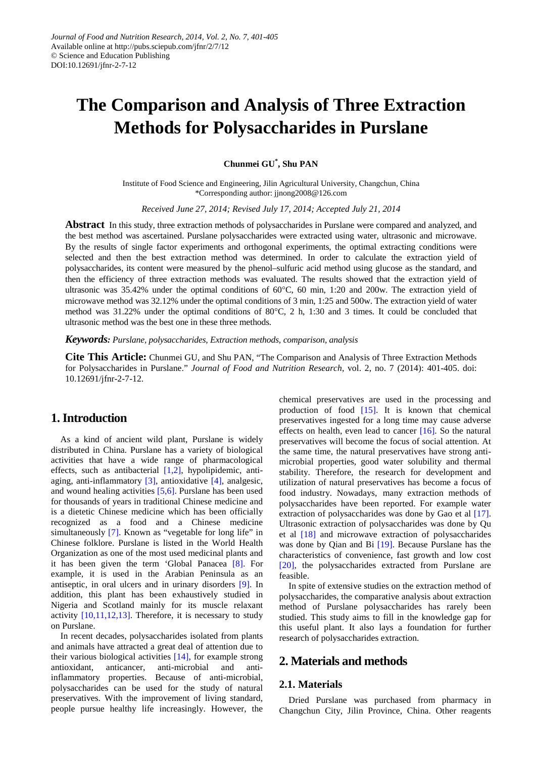# **The Comparison and Analysis of Three Extraction Methods for Polysaccharides in Purslane**

**Chunmei GU\* , Shu PAN**

Institute of Food Science and Engineering, Jilin Agricultural University, Changchun, China \*Corresponding author: jjnong2008@126.com

*Received June 27, 2014; Revised July 17, 2014; Accepted July 21, 2014*

**Abstract** In this study, three extraction methods of polysaccharides in Purslane were compared and analyzed, and the best method was ascertained. Purslane polysaccharides were extracted using water, ultrasonic and microwave. By the results of single factor experiments and orthogonal experiments, the optimal extracting conditions were selected and then the best extraction method was determined. In order to calculate the extraction yield of polysaccharides, its content were measured by the phenol–sulfuric acid method using glucose as the standard, and then the efficiency of three extraction methods was evaluated. The results showed that the extraction yield of ultrasonic was 35.42% under the optimal conditions of 60°C, 60 min, 1:20 and 200w. The extraction yield of microwave method was 32.12% under the optimal conditions of 3 min, 1:25 and 500w. The extraction yield of water method was 31.22% under the optimal conditions of 80°C, 2 h, 1:30 and 3 times. It could be concluded that ultrasonic method was the best one in these three methods.

*Keywords: Purslane, polysaccharides, Extraction methods, comparison, analysis*

**Cite This Article:** Chunmei GU, and Shu PAN, "The Comparison and Analysis of Three Extraction Methods for Polysaccharides in Purslane." *Journal of Food and Nutrition Research*, vol. 2, no. 7 (2014): 401-405. doi: 10.12691/jfnr-2-7-12.

# **1. Introduction**

As a kind of ancient wild plant, Purslane is widely distributed in China. Purslane has a variety of biological activities that have a wide range of pharmacological effects, such as antibacterial [1,2], hypolipidemic, antiaging, anti-inflammatory [\[3\],](#page-4-0) antioxidative [\[4\],](#page-4-1) analgesic, and wound healing activities [\[5,6\].](#page-4-2) Purslane has been used for thousands of years in traditional Chinese medicine and is a dietetic Chinese medicine which has been officially recognized as a food and a Chinese medicine simultaneously [\[7\].](#page-4-3) Known as "vegetable for long life" in Chinese folklore. Purslane is listed in the World Health Organization as one of the most used medicinal plants and it has been given the term 'Global Panacea [\[8\].](#page-4-4) For example, it is used in the Arabian Peninsula as an antiseptic, in oral ulcers and in urinary disorders [\[9\].](#page-4-5) In addition, this plant has been exhaustively studied in Nigeria and Scotland mainly for its muscle relaxant activity [\[10,11,12,13\].](#page-4-6) Therefore, it is necessary to study on Purslane.

In recent decades, polysaccharides isolated from plants and animals have attracted a great deal of attention due to their various biological activities [\[14\],](#page-4-7) for example strong antioxidant, anticancer, anti-microbial and antiinflammatory properties. Because of anti-microbial, polysaccharides can be used for the study of natural preservatives. With the improvement of living standard, people pursue healthy life increasingly. However, the chemical preservatives are used in the processing and production of food [\[15\].](#page-4-8) It is known that chemical preservatives ingested for a long time may cause adverse effects on health, even lead to cancer [\[16\].](#page-4-9) So the natural preservatives will become the focus of social attention. At the same time, the natural preservatives have strong antimicrobial properties, good water solubility and thermal stability. Therefore, the research for development and utilization of natural preservatives has become a focus of food industry. Nowadays, many extraction methods of polysaccharides have been reported. For example water extraction of polysaccharides was done by Gao et al [\[17\].](#page-4-10) Ultrasonic extraction of polysaccharides was done by Qu et al [\[18\]](#page-4-11) and microwave extraction of polysaccharides was done by Qian and Bi [\[19\].](#page-4-12) Because Purslane has the characteristics of convenience, fast growth and low cost [\[20\],](#page-4-13) the polysaccharides extracted from Purslane are feasible.

In spite of extensive studies on the extraction method of polysaccharides, the comparative analysis about extraction method of Purslane polysaccharides has rarely been studied. This study aims to fill in the knowledge gap for this useful plant. It also lays a foundation for further research of polysaccharides extraction.

### **2. Materials and methods**

#### **2.1. Materials**

Dried Purslane was purchased from pharmacy in Changchun City, Jilin Province, China. Other reagents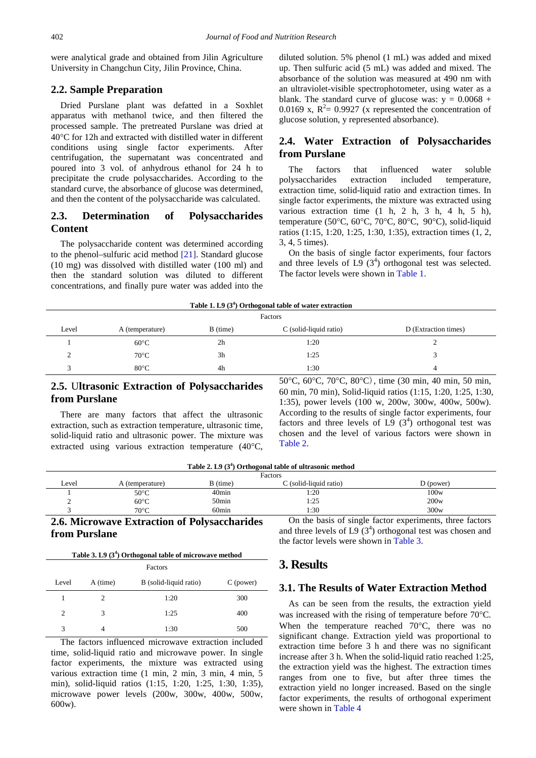were analytical grade and obtained from Jilin Agriculture University in Changchun City, Jilin Province, China.

#### **2.2. Sample Preparation**

Dried Purslane plant was defatted in a Soxhlet apparatus with methanol twice, and then filtered the processed sample. The pretreated Purslane was dried at 40°C for 12h and extracted with distilled water in different conditions using single factor experiments. After centrifugation, the supernatant was concentrated and poured into 3 vol. of anhydrous ethanol for 24 h to precipitate the crude polysaccharides. According to the standard curve, the absorbance of glucose was determined, and then the content of the polysaccharide was calculated.

#### **2.3. Determination of Polysaccharides Content**

The polysaccharide content was determined according to the phenol–sulfuric acid method [\[21\].](#page-4-14) Standard glucose (10 mg) was dissolved with distilled water (100 ml) and then the standard solution was diluted to different concentrations, and finally pure water was added into the diluted solution. 5% phenol (1 mL) was added and mixed up. Then sulfuric acid (5 mL) was added and mixed. The absorbance of the solution was measured at 490 nm with an ultraviolet-visible spectrophotometer, using water as a blank. The standard curve of glucose was:  $y = 0.0068 +$ 0.0169 x,  $R^2 = 0.9927$  (x represented the concentration of glucose solution, y represented absorbance).

#### **2.4. Water Extraction of Polysaccharides from Purslane**

The factors that influenced water soluble polysaccharides extraction included temperature, extraction time, solid-liquid ratio and extraction times. In single factor experiments, the mixture was extracted using various extraction time (1 h, 2 h, 3 h, 4 h, 5 h), temperature (50°C, 60°C, 70°C, 80°C, 90°C), solid-liquid ratios (1:15, 1:20, 1:25, 1:30, 1:35), extraction times (1, 2, 3, 4, 5 times).

On the basis of single factor experiments, four factors and three levels of  $L9(3^4)$  orthogonal test was selected. The factor levels were shown i[n Table 1.](#page-1-0)

<span id="page-1-0"></span>

| Table 1. L9 $(3^4)$ Orthogonal table of water extraction |                 |                |                        |                      |  |  |
|----------------------------------------------------------|-----------------|----------------|------------------------|----------------------|--|--|
| Factors                                                  |                 |                |                        |                      |  |  |
| Level                                                    | A (temperature) | B (time)       | C (solid-liquid ratio) | D (Extraction times) |  |  |
|                                                          | $60^{\circ}$ C  | 2 <sub>h</sub> | 1:20                   |                      |  |  |
|                                                          | $70^{\circ}$ C  | 3 <sub>h</sub> | 1:25                   |                      |  |  |
| ◠                                                        | $80^{\circ}$ C  | 4h             | 1:30                   | $\overline{4}$       |  |  |
|                                                          |                 |                |                        |                      |  |  |

#### **2.5.** U**ltrasonic Extraction of Polysaccharides from Purslane**

There are many factors that affect the ultrasonic extraction, such as extraction temperature, ultrasonic time, solid-liquid ratio and ultrasonic power. The mixture was extracted using various extraction temperature (40°C,

| $50^{\circ}$ C, $60^{\circ}$ C, $70^{\circ}$ C, $80^{\circ}$ C), time (30 min, 40 min, 50 min,  |
|-------------------------------------------------------------------------------------------------|
| 60 min, 70 min), Solid-liquid ratios (1:15, 1:20, 1:25, 1:30,                                   |
| 1:35), power levels $(100 \text{ w}, 200 \text{w}, 300 \text{w}, 400 \text{w}, 500 \text{w})$ . |
| According to the results of single factor experiments, four                                     |
| factors and three levels of L9 $(3^4)$ orthogonal test was                                      |
| chosen and the level of various factors were shown in                                           |
| Table 2.                                                                                        |

| Table 2. L9 (3 <sup>4</sup> ) Orthogonal table of ultrasonic method |
|---------------------------------------------------------------------|
|---------------------------------------------------------------------|

<span id="page-1-1"></span>

| Factors                                     |                 |                   |                        |                                                          |  |  |
|---------------------------------------------|-----------------|-------------------|------------------------|----------------------------------------------------------|--|--|
| Level                                       | A (temperature) | B (time)          | C (solid-liquid ratio) | D (power)                                                |  |  |
|                                             | $50^{\circ}$ C  | 40 <sub>min</sub> | l:20                   | 100w                                                     |  |  |
|                                             | $60^{\circ}$ C  | 50min             | 1:25                   | 200w                                                     |  |  |
|                                             | $70^{\circ}$ C  | 60min             | 1:30                   | 300w                                                     |  |  |
| 2.6 Microwaye Extraction of Polysaccharides |                 |                   |                        | On the basis of single factor experiments, three factors |  |  |

#### **2.6. Microwave Extraction of Polysaccharides from Purslane**

<span id="page-1-2"></span>

| Factors |          |                        |           |  |  |  |
|---------|----------|------------------------|-----------|--|--|--|
| Level   | A (time) | B (solid-liquid ratio) | C (power) |  |  |  |
|         |          | 1:20                   | 300       |  |  |  |
| 2       | 3        | 1:25                   | 400       |  |  |  |
| 3       | 4        | 1:30                   | 500       |  |  |  |

The factors influenced microwave extraction included time, solid-liquid ratio and microwave power. In single factor experiments, the mixture was extracted using various extraction time (1 min, 2 min, 3 min, 4 min, 5 min), solid-liquid ratios (1:15, 1:20, 1:25, 1:30, 1:35), microwave power levels (200w, 300w, 400w, 500w, 600w).

**3. Results**

#### **3.1. The Results of Water Extraction Method**

and three levels of  $L9(3^4)$  orthogonal test was chosen and

the factor levels were shown in [Table 3.](#page-1-2)

As can be seen from the results, the extraction yield was increased with the rising of temperature before 70°C. When the temperature reached 70°C, there was no significant change. Extraction yield was proportional to extraction time before 3 h and there was no significant increase after 3 h. When the solid-liquid ratio reached 1:25, the extraction yield was the highest. The extraction times ranges from one to five, but after three times the extraction yield no longer increased. Based on the single factor experiments, the results of orthogonal experiment were shown in [Table 4](#page-2-0)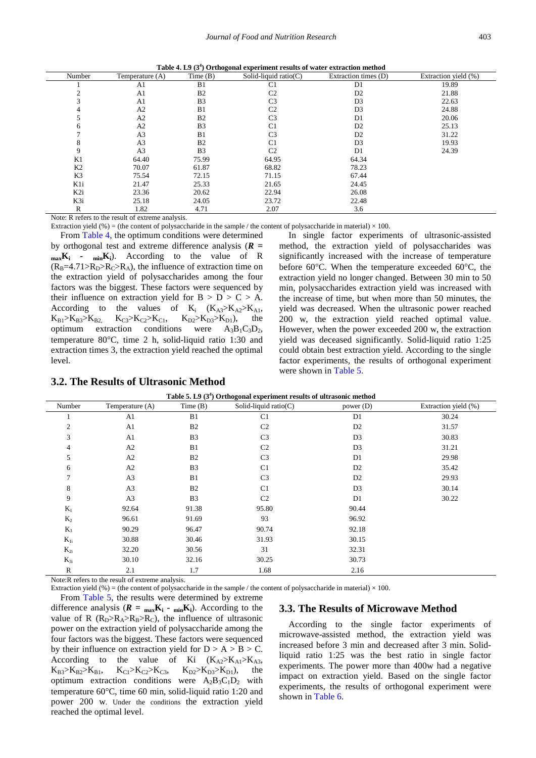| Table 4. L9 $(34)$ Orthogonal experiment results of water extraction method |  |  |  |  |  |  |
|-----------------------------------------------------------------------------|--|--|--|--|--|--|
|-----------------------------------------------------------------------------|--|--|--|--|--|--|

<span id="page-2-0"></span>

| Number          | Temperature (A) | Time(B)        | Solid-liquid ratio $(C)$ | Extraction times (D) | Extraction yield (%) |
|-----------------|-----------------|----------------|--------------------------|----------------------|----------------------|
|                 | A1              | B1             | C <sub>1</sub>           | D1                   | 19.89                |
|                 | A1              | B <sub>2</sub> | C <sub>2</sub>           | D <sub>2</sub>       | 21.88                |
|                 | A1              | B <sub>3</sub> | C <sub>3</sub>           | D <sub>3</sub>       | 22.63                |
|                 | A2              | B1             | C <sub>2</sub>           | D <sub>3</sub>       | 24.88                |
|                 | A2              | B <sub>2</sub> | C <sub>3</sub>           | D1                   | 20.06                |
| <sub>(</sub>    | A2              | B <sub>3</sub> | C <sub>1</sub>           | D <sub>2</sub>       | 25.13                |
|                 | A <sub>3</sub>  | B1             | C <sub>3</sub>           | D <sub>2</sub>       | 31.22                |
|                 | A <sub>3</sub>  | B <sub>2</sub> | C <sub>1</sub>           | D <sub>3</sub>       | 19.93                |
|                 | A <sub>3</sub>  | B <sub>3</sub> | C <sub>2</sub>           | D <sub>1</sub>       | 24.39                |
| K1              | 64.40           | 75.99          | 64.95                    | 64.34                |                      |
| K <sub>2</sub>  | 70.07           | 61.87          | 68.82                    | 78.23                |                      |
| K <sub>3</sub>  | 75.54           | 72.15          | 71.15                    | 67.44                |                      |
| K1i             | 21.47           | 25.33          | 21.65                    | 24.45                |                      |
| K <sub>2i</sub> | 23.36           | 20.62          | 22.94                    | 26.08                |                      |
| K3i             | 25.18           | 24.05          | 23.72                    | 22.48                |                      |
| R               | 1.82            | 4.71           | 2.07                     | 3.6                  |                      |

Note: R refers to the result of extreme analysis.

Extraction yield (%) = (the content of polysaccharide in the sample / the content of polysaccharide in material)  $\times$  100.

From [Table 4,](#page-2-0) the optimum conditions were determined by orthogonal test and extreme difference analysis (*R* **= maxKi - minKi**). According to the value of R  $(R_B=4.71>R_D>R_C>R_A)$ , the influence of extraction time on the extraction yield of polysaccharides among the four factors was the biggest. These factors were sequenced by their influence on extraction yield for  $B > D > C > A$ . According to the values of  $K_i$   $(K_{A3} > K_{A2} > K_{A1},$ <br>  $K_{B1} > K_{B3} > K_{B2}$   $K_{C3} > K_{C2} > K_{C1}$ ,  $K_{D2} > K_{D3} > K_{D1}$ ), the  $K_{B1} > K_{B3} > K_{B2}$ ,  $K_{C3} > K_{C2} > K_{C1}$ ,  $K_{D2} > K_{D3} > K_{D1}$ , the optimum extraction conditions were  $A_3B_1C_3D_2$ , extraction conditions temperature 80°C, time 2 h, solid-liquid ratio 1:30 and extraction times 3, the extraction yield reached the optimal level.

#### **3.2. The Results of Ultrasonic Method**

In single factor experiments of ultrasonic-assisted method, the extraction yield of polysaccharides was significantly increased with the increase of temperature before 60°C. When the temperature exceeded 60°C, the extraction yield no longer changed. Between 30 min to 50 min, polysaccharides extraction yield was increased with the increase of time, but when more than 50 minutes, the yield was decreased. When the ultrasonic power reached 200 w, the extraction yield reached optimal value. However, when the power exceeded 200 w, the extraction yield was deceased significantly. Solid-liquid ratio 1:25 could obtain best extraction yield. According to the single factor experiments, the results of orthogonal experiment were shown in [Table 5.](#page-2-1)

<span id="page-2-1"></span>

| Table 5. L9 $(34)$ Orthogonal experiment results of ultrasonic method |                   |                |                          |                |                      |  |
|-----------------------------------------------------------------------|-------------------|----------------|--------------------------|----------------|----------------------|--|
| Number                                                                | Temperature $(A)$ | Time $(B)$     | Solid-liquid ratio $(C)$ | power $(D)$    | Extraction yield (%) |  |
|                                                                       | A1                | B1             | C <sub>1</sub>           | D <sub>1</sub> | 30.24                |  |
| $\mathfrak{2}$                                                        | A <sub>1</sub>    | B2             | C <sub>2</sub>           | D2             | 31.57                |  |
| 3                                                                     | A <sub>1</sub>    | B <sub>3</sub> | C <sub>3</sub>           | D <sub>3</sub> | 30.83                |  |
| 4                                                                     | A2                | B1             | C <sub>2</sub>           | D <sub>3</sub> | 31.21                |  |
| 5                                                                     | A2                | B <sub>2</sub> | C <sub>3</sub>           | D <sub>1</sub> | 29.98                |  |
| 6                                                                     | A2                | B <sub>3</sub> | C <sub>1</sub>           | D <sub>2</sub> | 35.42                |  |
| 7                                                                     | A <sub>3</sub>    | B1             | C <sub>3</sub>           | D <sub>2</sub> | 29.93                |  |
| 8                                                                     | A <sub>3</sub>    | B <sub>2</sub> | C <sub>1</sub>           | D <sub>3</sub> | 30.14                |  |
| 9                                                                     | A <sub>3</sub>    | B <sub>3</sub> | C <sub>2</sub>           | D <sub>1</sub> | 30.22                |  |
| $K_1$                                                                 | 92.64             | 91.38          | 95.80                    | 90.44          |                      |  |
| $K_2$                                                                 | 96.61             | 91.69          | 93                       | 96.92          |                      |  |
| $K_3$                                                                 | 90.29             | 96.47          | 90.74                    | 92.18          |                      |  |
| $K_{1i}$                                                              | 30.88             | 30.46          | 31.93                    | 30.15          |                      |  |
| $K_{2i}$                                                              | 32.20             | 30.56          | 31                       | 32.31          |                      |  |
| $K_{3i}$                                                              | 30.10             | 32.16          | 30.25                    | 30.73          |                      |  |
| ${\bf R}$                                                             | 2.1               | 1.7            | 1.68                     | 2.16           |                      |  |

Note:R refers to the result of extreme analysis.

Extraction yield (%) = (the content of polysaccharide in the sample / the content of polysaccharide in material)  $\times$  100.

From [Table 5,](#page-2-1) the results were determined by extreme difference analysis  $(R = \max_{\text{max}} K_i - \min_{\text{min}} K_i)$ . According to the value of R  $(R_D>R_A>R_B>R_C)$ , the influence of ultrasonic power on the extraction yield of polysaccharide among the four factors was the biggest. These factors were sequenced by their influence on extraction yield for  $D > A > B > C$ . According to the value of Ki  $(K_{A2} > K_{A1} > K_{A3},$  $K_{B3} > K_{B2} > K_{B1}$ ,  $K_{C1} > K_{C2} > K_{C3}$ ,  $K_{D2} > K_{D3} > K_{D1}$ , the optimum extraction conditions were  $A_2B_3C_1D_2$  with temperature 60°C, time 60 min, solid-liquid ratio 1:20 and power 200 w. Under the conditions the extraction yield reached the optimal level.

#### **3.3. The Results of Microwave Method**

According to the single factor experiments of microwave-assisted method, the extraction yield was increased before 3 min and decreased after 3 min. Solidliquid ratio 1:25 was the best ratio in single factor experiments. The power more than 400w had a negative impact on extraction yield. Based on the single factor experiments, the results of orthogonal experiment were shown in [Table 6.](#page-3-0)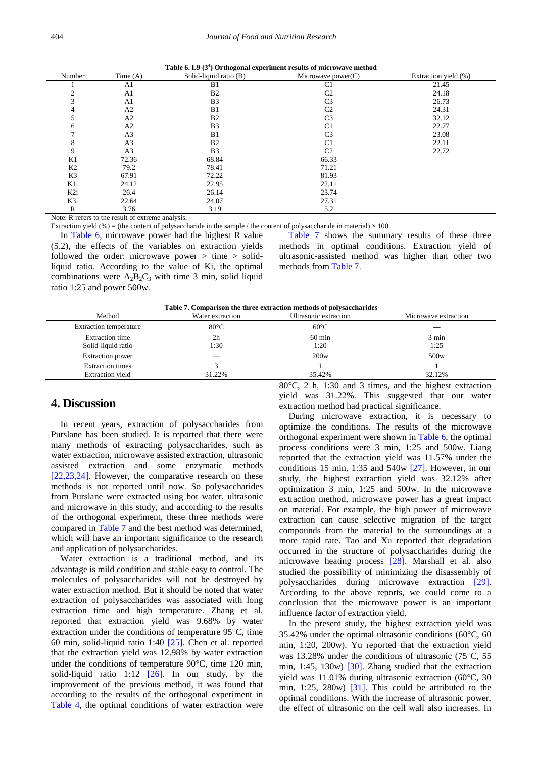|  |  | Table 6. L9 $(34)$ Orthogonal experiment results of microwave method |  |  |  |  |
|--|--|----------------------------------------------------------------------|--|--|--|--|
|--|--|----------------------------------------------------------------------|--|--|--|--|

<span id="page-3-0"></span>

| Number                                | Time $(A)$      | $\cdot$<br>Solid-liquid ratio (B) | Microwave power $(C)$ | Extraction yield (%) |
|---------------------------------------|-----------------|-----------------------------------|-----------------------|----------------------|
|                                       | A1              | B1                                | C <sub>1</sub>        | 21.45                |
|                                       | A1              | B <sub>2</sub>                    | C <sub>2</sub>        | 24.18                |
| 3                                     | A1              | B <sub>3</sub>                    | C <sub>3</sub>        | 26.73                |
| $\overline{4}$                        | A2              | B1                                | C <sub>2</sub>        | 24.31                |
| 5                                     | A2              | B <sub>2</sub>                    | C <sub>3</sub>        | 32.12                |
| 6                                     | A <sub>2</sub>  | B <sub>3</sub>                    | C <sub>1</sub>        | 22.77                |
| ⇁                                     | A <sub>3</sub>  | B1                                | C <sub>3</sub>        | 23.08                |
| 8                                     | A <sub>3</sub>  | B <sub>2</sub>                    | C <sub>1</sub>        | 22.11                |
| 9                                     | A <sub>3</sub>  | B <sub>3</sub>                    | C <sub>2</sub>        | 22.72                |
| K1                                    | 72.36           | 68.84                             | 66.33                 |                      |
| K <sub>2</sub>                        | 79.2            | 78.41                             | 71.21                 |                      |
| K3                                    | 67.91           | 72.22                             | 81.93                 |                      |
| K1i                                   | 24.12           | 22.95                             | 22.11                 |                      |
| K <sub>2i</sub>                       | 26.4            | 26.14                             | 23.74                 |                      |
| K3i                                   | 22.64           | 24.07                             | 27.31                 |                      |
| $\mathbb{R}$                          | 3.76            | 3.19                              | 5.2                   |                      |
| $\sim$ $\sim$<br>$\sim$ $\sim$ $\sim$ | $\cdot$ $\cdot$ | $\cdot$ $\cdot$                   |                       |                      |

Note: R refers to the result of extreme analysis.

Extraction yield (%) = (the content of polysaccharide in the sample / the content of polysaccharide in material)  $\times$  100.

In [Table 6,](#page-3-0) microwave power had the highest R value (5.2), the effects of the variables on extraction yields followed the order: microwave power  $>$  time  $>$  solidliquid ratio. According to the value of Ki, the optimal combinations were  $A_2B_2C_3$  with time 3 min, solid liquid ratio 1:25 and power 500w.

[Table 7](#page-3-1) shows the summary results of these three methods in optimal conditions. Extraction yield of ultrasonic-assisted method was higher than other two methods fro[m Table 7.](#page-3-1)

**Table 7. Comparison the three extraction methods of polysaccharides**

<span id="page-3-1"></span>

| THE LIGHT OF COMPLETE THE CITY OF THE CO. CHARGES CHARGES ON A POST DESCRIPTION OF |                        |                          |                      |  |  |  |  |
|------------------------------------------------------------------------------------|------------------------|--------------------------|----------------------|--|--|--|--|
| Method                                                                             | Water extraction       | Ultrasonic extraction    | Microwave extraction |  |  |  |  |
| <b>Extraction temperature</b>                                                      | $80^{\circ}$ C         | $60^{\circ}$ C           |                      |  |  |  |  |
| <b>Extraction</b> time<br>Solid-liquid ratio                                       | 2 <sub>h</sub><br>1:30 | $60 \text{ min}$<br>1:20 | 3 min<br>1:25        |  |  |  |  |
| <b>Extraction</b> power                                                            |                        | 200w                     | 500 <sub>w</sub>     |  |  |  |  |
| <b>Extraction times</b><br><b>Extraction</b> yield                                 | 31.22%                 | 35.42%                   | 32.12%               |  |  |  |  |
|                                                                                    |                        |                          |                      |  |  |  |  |

#### **4. Discussion**

In recent years, extraction of polysaccharides from Purslane has been studied. It is reported that there were many methods of extracting polysaccharides, such as water extraction, microwave assisted extraction, ultrasonic assisted extraction and some enzymatic methods [\[22,23,24\].](#page-4-15) However, the comparative research on these methods is not reported until now. So polysaccharides from Purslane were extracted using hot water, ultrasonic and microwave in this study, and according to the results of the orthogonal experiment, these three methods were compared in [Table 7](#page-3-1) and the best method was determined, which will have an important significance to the research and application of polysaccharides.

Water extraction is a traditional method, and its advantage is mild condition and stable easy to control. The molecules of polysaccharides will not be destroyed by water extraction method. But it should be noted that water extraction of polysaccharides was associated with long extraction time and high temperature. Zhang et al. reported that extraction yield was 9.68% by water extraction under the conditions of temperature 95°C, time 60 min, solid-liquid ratio 1:40 [\[25\].](#page-4-16) Chen et al. reported that the extraction yield was 12.98% by water extraction under the conditions of temperature 90°C, time 120 min, solid-liquid ratio 1:12  $[26]$ . In our study, by the improvement of the previous method, it was found that according to the results of the orthogonal experiment in [Table 4,](#page-2-0) the optimal conditions of water extraction were 80°C, 2 h, 1:30 and 3 times, and the highest extraction yield was 31.22%. This suggested that our water extraction method had practical significance.

During microwave extraction, it is necessary to optimize the conditions. The results of the microwave orthogonal experiment were shown in [Table 6,](#page-3-0) the optimal process conditions were 3 min, 1:25 and 500w. Liang reported that the extraction yield was 11.57% under the conditions 15 min, 1:35 and 540w [\[27\].](#page-4-18) However, in our study, the highest extraction yield was 32.12% after optimization 3 min, 1:25 and 500w. In the microwave extraction method, microwave power has a great impact on material. For example, the high power of microwave extraction can cause selective migration of the target compounds from the material to the surroundings at a more rapid rate. Tao and Xu reported that degradation occurred in the structure of polysaccharides during the microwave heating process [\[28\].](#page-4-19) Marshall et al. also studied the possibility of minimizing the disassembly of polysaccharides during microwave extraction [\[29\].](#page-4-20) According to the above reports, we could come to a conclusion that the microwave power is an important influence factor of extraction yield.

In the present study, the highest extraction yield was 35.42% under the optimal ultrasonic conditions (60°C, 60 min, 1:20, 200w). Yu reported that the extraction yield was 13.28% under the conditions of ultrasonic (75°C, 55 min, 1:45, 130w) [\[30\].](#page-4-21) Zhang studied that the extraction yield was 11.01% during ultrasonic extraction (60°C, 30 min, 1:25, 280w) [\[31\].](#page-4-22) This could be attributed to the optimal conditions. With the increase of ultrasonic power, the effect of ultrasonic on the cell wall also increases. In